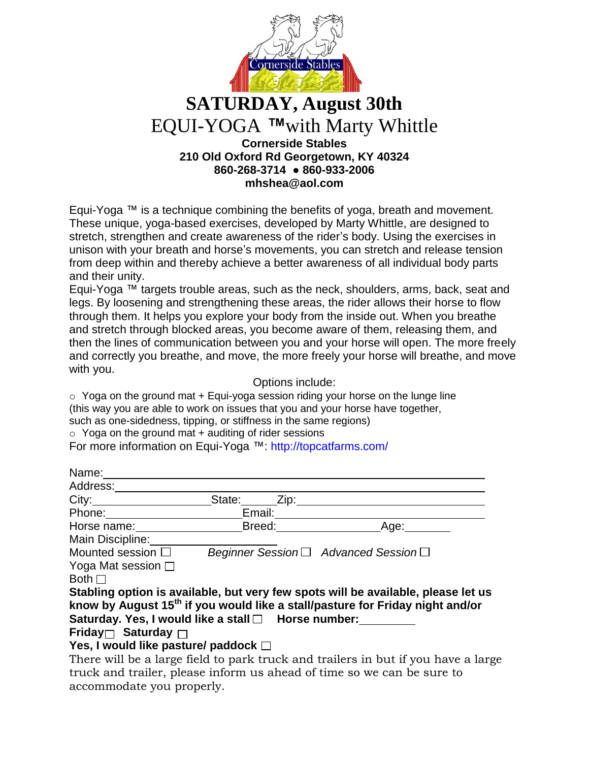

## **SATURDAY, August 30th** EQUI-YOGA *™*with Marty Whittle **Cornerside Stables 210 Old Oxford Rd Georgetown, KY 40324 860-268-3714 ● 860-933-2006**

**mhshea@aol.com**

Equi-Yoga ™ is a technique combining the benefits of yoga, breath and movement. These unique, yoga-based exercises, developed by Marty Whittle, are designed to stretch, strengthen and create awareness of the rider's body. Using the exercises in unison with your breath and horse's movements, you can stretch and release tension from deep within and thereby achieve a better awareness of all individual body parts and their unity.

Equi-Yoga ™ targets trouble areas, such as the neck, shoulders, arms, back, seat and legs. By loosening and strengthening these areas, the rider allows their horse to flow through them. It helps you explore your body from the inside out. When you breathe and stretch through blocked areas, you become aware of them, releasing them, and then the lines of communication between you and your horse will open. The more freely and correctly you breathe, and move, the more freely your horse will breathe, and move with you.

Options include:

 $\circ$  Yoga on the ground mat + Equi-yoga session riding your horse on the lunge line (this way you are able to work on issues that you and your horse have together, such as one-sidedness, tipping, or stiffness in the same regions)

 $\circ$  Yoga on the ground mat + auditing of rider sessions

For more information on Equi-Yoga ™: http://topcatfarms.com/

| Name:                                               |                |                                                                                           |
|-----------------------------------------------------|----------------|-------------------------------------------------------------------------------------------|
| Address:                                            |                |                                                                                           |
| City:                                               | State:<br>Zip: |                                                                                           |
| Phone:                                              | Email:         |                                                                                           |
| Horse name:                                         | Breed:         | Age:                                                                                      |
| Main Discipline:                                    |                |                                                                                           |
| Mounted session $\square$                           |                | Beginner Session $\Box$ Advanced Session $\Box$                                           |
| Yoga Mat session $\square$                          |                |                                                                                           |
| Both $\Box$                                         |                |                                                                                           |
|                                                     |                | Stabling option is available, but very few spots will be available, please let us         |
|                                                     |                | know by August 15 <sup>th</sup> if you would like a stall/pasture for Friday night and/or |
| Saturday. Yes, I would like a stall □ Horse number: |                |                                                                                           |
| Friday $\Box$ Saturday $\Box$                       |                |                                                                                           |
|                                                     |                |                                                                                           |

## **Yes, I would like pasture/ paddock**

There will be a large field to park truck and trailers in but if you have a large truck and trailer, please inform us ahead of time so we can be sure to accommodate you properly.